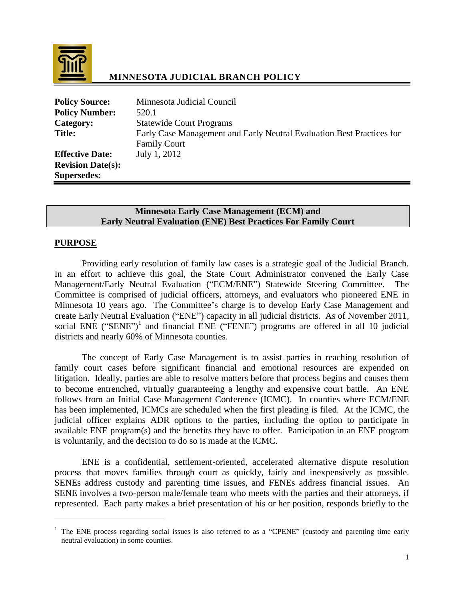

# **MINNESOTA JUDICIAL BRANCH POLICY**

| <b>Policy Source:</b>    | Minnesota Judicial Council                                            |
|--------------------------|-----------------------------------------------------------------------|
| <b>Policy Number:</b>    | 520.1                                                                 |
| Category:                | <b>Statewide Court Programs</b>                                       |
| <b>Title:</b>            | Early Case Management and Early Neutral Evaluation Best Practices for |
|                          | <b>Family Court</b>                                                   |
| <b>Effective Date:</b>   | July 1, 2012                                                          |
| <b>Revision Date(s):</b> |                                                                       |
| <b>Supersedes:</b>       |                                                                       |

### **Minnesota Early Case Management (ECM) and Early Neutral Evaluation (ENE) Best Practices For Family Court**

#### **PURPOSE**

 $\overline{a}$ 

Providing early resolution of family law cases is a strategic goal of the Judicial Branch. In an effort to achieve this goal, the State Court Administrator convened the Early Case Management/Early Neutral Evaluation ("ECM/ENE") Statewide Steering Committee. The Committee is comprised of judicial officers, attorneys, and evaluators who pioneered ENE in Minnesota 10 years ago. The Committee's charge is to develop Early Case Management and create Early Neutral Evaluation ("ENE") capacity in all judicial districts. As of November 2011, social ENE ("SENE")<sup>1</sup> and financial ENE ("FENE") programs are offered in all 10 judicial districts and nearly 60% of Minnesota counties.

The concept of Early Case Management is to assist parties in reaching resolution of family court cases before significant financial and emotional resources are expended on litigation. Ideally, parties are able to resolve matters before that process begins and causes them to become entrenched, virtually guaranteeing a lengthy and expensive court battle. An ENE follows from an Initial Case Management Conference (ICMC). In counties where ECM/ENE has been implemented, ICMCs are scheduled when the first pleading is filed. At the ICMC, the judicial officer explains ADR options to the parties, including the option to participate in available ENE program(s) and the benefits they have to offer. Participation in an ENE program is voluntarily, and the decision to do so is made at the ICMC.

ENE is a confidential, settlement-oriented, accelerated alternative dispute resolution process that moves families through court as quickly, fairly and inexpensively as possible. SENEs address custody and parenting time issues, and FENEs address financial issues. An SENE involves a two-person male/female team who meets with the parties and their attorneys, if represented. Each party makes a brief presentation of his or her position, responds briefly to the

<sup>&</sup>lt;sup>1</sup> The ENE process regarding social issues is also referred to as a "CPENE" (custody and parenting time early neutral evaluation) in some counties.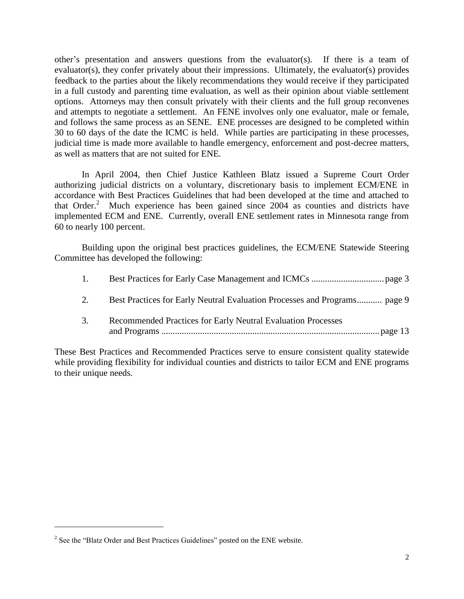other's presentation and answers questions from the evaluator(s). If there is a team of evaluator(s), they confer privately about their impressions. Ultimately, the evaluator(s) provides feedback to the parties about the likely recommendations they would receive if they participated in a full custody and parenting time evaluation, as well as their opinion about viable settlement options. Attorneys may then consult privately with their clients and the full group reconvenes and attempts to negotiate a settlement. An FENE involves only one evaluator, male or female, and follows the same process as an SENE. ENE processes are designed to be completed within 30 to 60 days of the date the ICMC is held. While parties are participating in these processes, judicial time is made more available to handle emergency, enforcement and post-decree matters, as well as matters that are not suited for ENE.

In April 2004, then Chief Justice Kathleen Blatz issued a Supreme Court Order authorizing judicial districts on a voluntary, discretionary basis to implement ECM/ENE in accordance with Best Practices Guidelines that had been developed at the time and attached to that Order.<sup>2</sup> Much experience has been gained since 2004 as counties and districts have implemented ECM and ENE. Currently, overall ENE settlement rates in Minnesota range from 60 to nearly 100 percent.

Building upon the original best practices guidelines, the ECM/ENE Statewide Steering Committee has developed the following:

| $\overline{1}$ . |                                                                           |
|------------------|---------------------------------------------------------------------------|
| 2.               | Best Practices for Early Neutral Evaluation Processes and Programs page 9 |
| 3.               | Recommended Practices for Early Neutral Evaluation Processes              |

These Best Practices and Recommended Practices serve to ensure consistent quality statewide while providing flexibility for individual counties and districts to tailor ECM and ENE programs to their unique needs.

 $2^2$  See the "Blatz Order and Best Practices Guidelines" posted on the ENE website.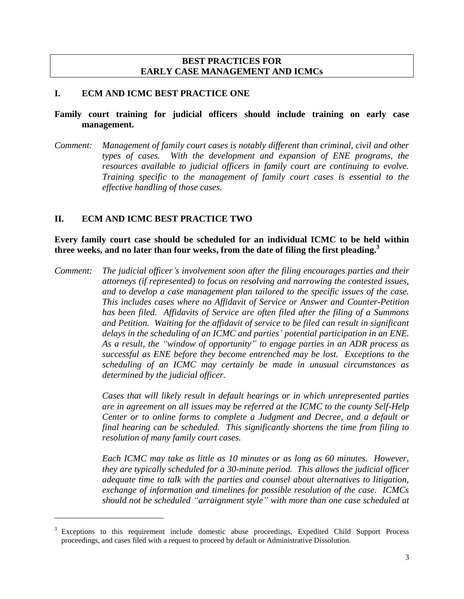### **BEST PRACTICES FOR EARLY CASE MANAGEMENT AND ICMCs**

#### **I. ECM AND ICMC BEST PRACTICE ONE**

### **Family court training for judicial officers should include training on early case management.**

*Comment: Management of family court cases is notably different than criminal, civil and other types of cases. With the development and expansion of ENE programs, the resources available to judicial officers in family court are continuing to evolve. Training specific to the management of family court cases is essential to the effective handling of those cases.*

### **II. ECM AND ICMC BEST PRACTICE TWO**

 $\overline{a}$ 

**Every family court case should be scheduled for an individual ICMC to be held within three weeks, and no later than four weeks, from the date of filing the first pleading. 3**

*Comment: The judicial officer's involvement soon after the filing encourages parties and their attorneys (if represented) to focus on resolving and narrowing the contested issues, and to develop a case management plan tailored to the specific issues of the case. This includes cases where no Affidavit of Service or Answer and Counter-Petition has been filed. Affidavits of Service are often filed after the filing of a Summons and Petition. Waiting for the affidavit of service to be filed can result in significant delays in the scheduling of an ICMC and parties' potential participation in an ENE. As a result, the "window of opportunity" to engage parties in an ADR process as successful as ENE before they become entrenched may be lost. Exceptions to the scheduling of an ICMC may certainly be made in unusual circumstances as determined by the judicial officer.*

> *Cases that will likely result in default hearings or in which unrepresented parties are in agreement on all issues may be referred at the ICMC to the county Self-Help Center or to online forms to complete a Judgment and Decree, and a default or final hearing can be scheduled. This significantly shortens the time from filing to resolution of many family court cases.*

> *Each ICMC may take as little as 10 minutes or as long as 60 minutes. However, they are typically scheduled for a 30-minute period. This allows the judicial officer adequate time to talk with the parties and counsel about alternatives to litigation, exchange of information and timelines for possible resolution of the case. ICMCs should not be scheduled "arraignment style" with more than one case scheduled at*

<sup>&</sup>lt;sup>3</sup> Exceptions to this requirement include domestic abuse proceedings, Expedited Child Support Process proceedings, and cases filed with a request to proceed by default or Administrative Dissolution.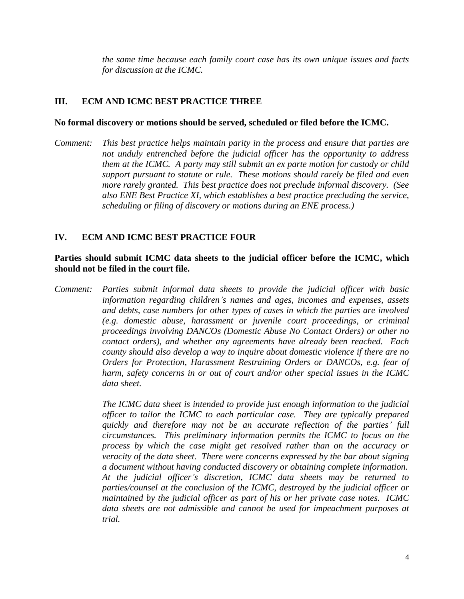*the same time because each family court case has its own unique issues and facts for discussion at the ICMC.*

## **III. ECM AND ICMC BEST PRACTICE THREE**

#### **No formal discovery or motions should be served, scheduled or filed before the ICMC.**

*Comment: This best practice helps maintain parity in the process and ensure that parties are not unduly entrenched before the judicial officer has the opportunity to address them at the ICMC. A party may still submit an ex parte motion for custody or child support pursuant to statute or rule. These motions should rarely be filed and even more rarely granted. This best practice does not preclude informal discovery. (See also ENE Best Practice XI, which establishes a best practice precluding the service, scheduling or filing of discovery or motions during an ENE process.)*

## **IV. ECM AND ICMC BEST PRACTICE FOUR**

## **Parties should submit ICMC data sheets to the judicial officer before the ICMC, which should not be filed in the court file.**

*Comment: Parties submit informal data sheets to provide the judicial officer with basic information regarding children's names and ages, incomes and expenses, assets and debts, case numbers for other types of cases in which the parties are involved (e.g. domestic abuse, harassment or juvenile court proceedings, or criminal proceedings involving DANCOs (Domestic Abuse No Contact Orders) or other no contact orders), and whether any agreements have already been reached. Each county should also develop a way to inquire about domestic violence if there are no Orders for Protection, Harassment Restraining Orders or DANCOs, e.g. fear of harm, safety concerns in or out of court and/or other special issues in the ICMC data sheet.*

> *The ICMC data sheet is intended to provide just enough information to the judicial officer to tailor the ICMC to each particular case. They are typically prepared quickly and therefore may not be an accurate reflection of the parties' full circumstances. This preliminary information permits the ICMC to focus on the process by which the case might get resolved rather than on the accuracy or veracity of the data sheet. There were concerns expressed by the bar about signing a document without having conducted discovery or obtaining complete information. At the judicial officer's discretion, ICMC data sheets may be returned to parties/counsel at the conclusion of the ICMC, destroyed by the judicial officer or maintained by the judicial officer as part of his or her private case notes. ICMC data sheets are not admissible and cannot be used for impeachment purposes at trial.*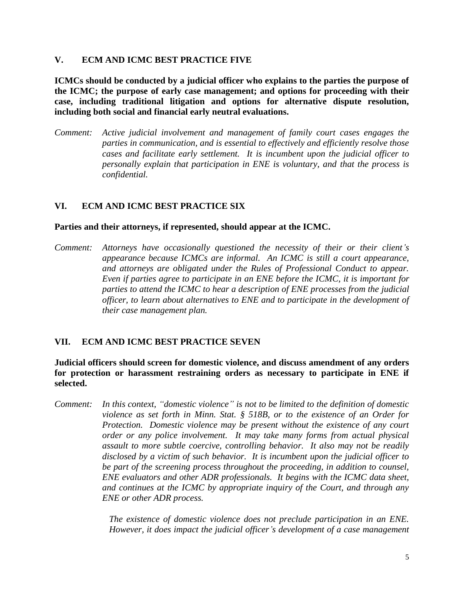### **V. ECM AND ICMC BEST PRACTICE FIVE**

**ICMCs should be conducted by a judicial officer who explains to the parties the purpose of the ICMC; the purpose of early case management; and options for proceeding with their case, including traditional litigation and options for alternative dispute resolution, including both social and financial early neutral evaluations.** 

*Comment: Active judicial involvement and management of family court cases engages the parties in communication, and is essential to effectively and efficiently resolve those cases and facilitate early settlement. It is incumbent upon the judicial officer to personally explain that participation in ENE is voluntary, and that the process is confidential.*

## **VI. ECM AND ICMC BEST PRACTICE SIX**

#### **Parties and their attorneys, if represented, should appear at the ICMC.**

*Comment: Attorneys have occasionally questioned the necessity of their or their client's appearance because ICMCs are informal. An ICMC is still a court appearance, and attorneys are obligated under the Rules of Professional Conduct to appear. Even if parties agree to participate in an ENE before the ICMC, it is important for parties to attend the ICMC to hear a description of ENE processes from the judicial officer, to learn about alternatives to ENE and to participate in the development of their case management plan.*

### **VII. ECM AND ICMC BEST PRACTICE SEVEN**

**Judicial officers should screen for domestic violence, and discuss amendment of any orders for protection or harassment restraining orders as necessary to participate in ENE if selected.**

*Comment: In this context, "domestic violence" is not to be limited to the definition of domestic violence as set forth in Minn. Stat. § 518B, or to the existence of an Order for Protection. Domestic violence may be present without the existence of any court order or any police involvement. It may take many forms from actual physical assault to more subtle coercive, controlling behavior. It also may not be readily disclosed by a victim of such behavior. It is incumbent upon the judicial officer to be part of the screening process throughout the proceeding, in addition to counsel, ENE evaluators and other ADR professionals. It begins with the ICMC data sheet, and continues at the ICMC by appropriate inquiry of the Court, and through any ENE or other ADR process.*

> *The existence of domestic violence does not preclude participation in an ENE. However, it does impact the judicial officer's development of a case management*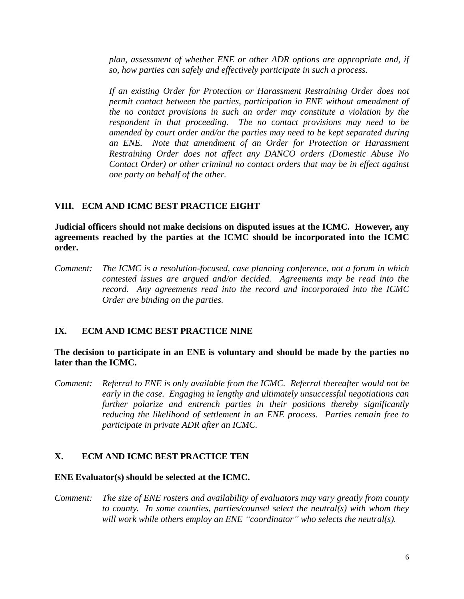*plan, assessment of whether ENE or other ADR options are appropriate and, if so, how parties can safely and effectively participate in such a process.* 

*If an existing Order for Protection or Harassment Restraining Order does not permit contact between the parties, participation in ENE without amendment of the no contact provisions in such an order may constitute a violation by the respondent in that proceeding. The no contact provisions may need to be amended by court order and/or the parties may need to be kept separated during an ENE. Note that amendment of an Order for Protection or Harassment Restraining Order does not affect any DANCO orders (Domestic Abuse No Contact Order) or other criminal no contact orders that may be in effect against one party on behalf of the other.*

### **VIII. ECM AND ICMC BEST PRACTICE EIGHT**

**Judicial officers should not make decisions on disputed issues at the ICMC. However, any agreements reached by the parties at the ICMC should be incorporated into the ICMC order.**

*Comment: The ICMC is a resolution-focused, case planning conference, not a forum in which contested issues are argued and/or decided. Agreements may be read into the record. Any agreements read into the record and incorporated into the ICMC Order are binding on the parties.*

### **IX. ECM AND ICMC BEST PRACTICE NINE**

**The decision to participate in an ENE is voluntary and should be made by the parties no later than the ICMC.**

*Comment: Referral to ENE is only available from the ICMC. Referral thereafter would not be early in the case. Engaging in lengthy and ultimately unsuccessful negotiations can further polarize and entrench parties in their positions thereby significantly reducing the likelihood of settlement in an ENE process. Parties remain free to participate in private ADR after an ICMC.*

### **X. ECM AND ICMC BEST PRACTICE TEN**

#### **ENE Evaluator(s) should be selected at the ICMC.**

*Comment: The size of ENE rosters and availability of evaluators may vary greatly from county to county. In some counties, parties/counsel select the neutral(s) with whom they will work while others employ an ENE "coordinator" who selects the neutral(s).*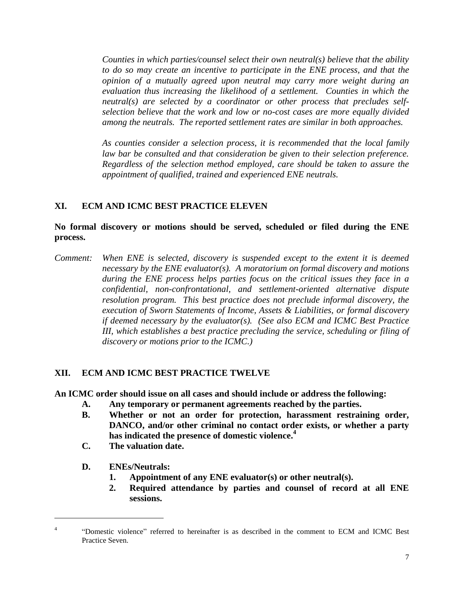*Counties in which parties/counsel select their own neutral(s) believe that the ability to do so may create an incentive to participate in the ENE process, and that the opinion of a mutually agreed upon neutral may carry more weight during an evaluation thus increasing the likelihood of a settlement. Counties in which the neutral(s) are selected by a coordinator or other process that precludes selfselection believe that the work and low or no-cost cases are more equally divided among the neutrals. The reported settlement rates are similar in both approaches.*

*As counties consider a selection process, it is recommended that the local family law bar be consulted and that consideration be given to their selection preference. Regardless of the selection method employed, care should be taken to assure the appointment of qualified, trained and experienced ENE neutrals.*

### **XI. ECM AND ICMC BEST PRACTICE ELEVEN**

**No formal discovery or motions should be served, scheduled or filed during the ENE process.**

*Comment: When ENE is selected, discovery is suspended except to the extent it is deemed necessary by the ENE evaluator(s). A moratorium on formal discovery and motions during the ENE process helps parties focus on the critical issues they face in a confidential, non-confrontational, and settlement-oriented alternative dispute resolution program. This best practice does not preclude informal discovery, the execution of Sworn Statements of Income, Assets & Liabilities, or formal discovery if deemed necessary by the evaluator(s). (See also ECM and ICMC Best Practice III, which establishes a best practice precluding the service, scheduling or filing of discovery or motions prior to the ICMC.)*

### **XII. ECM AND ICMC BEST PRACTICE TWELVE**

**An ICMC order should issue on all cases and should include or address the following:**

- **A. Any temporary or permanent agreements reached by the parties.**
- **B. Whether or not an order for protection, harassment restraining order, DANCO, and/or other criminal no contact order exists, or whether a party has indicated the presence of domestic violence. 4**
- **C. The valuation date.**
- **D. ENEs/Neutrals:**

- **1. Appointment of any ENE evaluator(s) or other neutral(s).**
- **2. Required attendance by parties and counsel of record at all ENE sessions.**

<sup>4</sup> "Domestic violence" referred to hereinafter is as described in the comment to ECM and ICMC Best Practice Seven.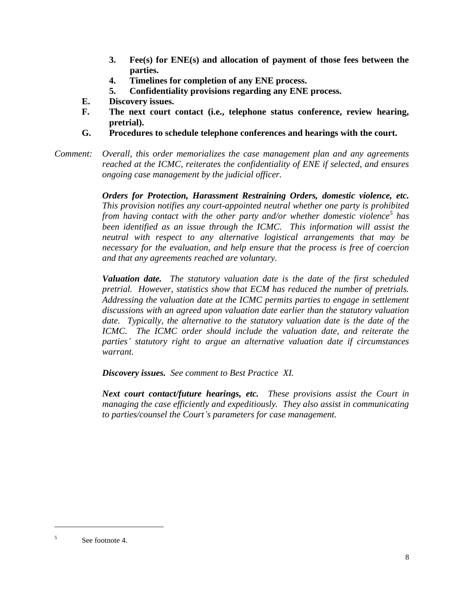- **3. Fee(s) for ENE(s) and allocation of payment of those fees between the parties.**
- **4. Timelines for completion of any ENE process.**
- **5. Confidentiality provisions regarding any ENE process.**
- **E. Discovery issues.**
- **F. The next court contact (i.e., telephone status conference, review hearing, pretrial).**
- **G. Procedures to schedule telephone conferences and hearings with the court.**

*Comment: Overall, this order memorializes the case management plan and any agreements reached at the ICMC, reiterates the confidentiality of ENE if selected, and ensures ongoing case management by the judicial officer.*

> *Orders for Protection, Harassment Restraining Orders, domestic violence, etc. This provision notifies any court-appointed neutral whether one party is prohibited from having contact with the other party and/or whether domestic violence<sup>5</sup> has been identified as an issue through the ICMC. This information will assist the neutral with respect to any alternative logistical arrangements that may be necessary for the evaluation, and help ensure that the process is free of coercion and that any agreements reached are voluntary.*

> *Valuation date. The statutory valuation date is the date of the first scheduled pretrial. However, statistics show that ECM has reduced the number of pretrials. Addressing the valuation date at the ICMC permits parties to engage in settlement discussions with an agreed upon valuation date earlier than the statutory valuation*  date. Typically, the alternative to the statutory valuation date is the date of the *ICMC. The ICMC order should include the valuation date, and reiterate the parties' statutory right to argue an alternative valuation date if circumstances warrant.*

*Discovery issues. See comment to Best Practice XI.*

*Next court contact/future hearings, etc. These provisions assist the Court in managing the case efficiently and expeditiously. They also assist in communicating to parties/counsel the Court's parameters for case management.*

<sup>5</sup> See footnote 4.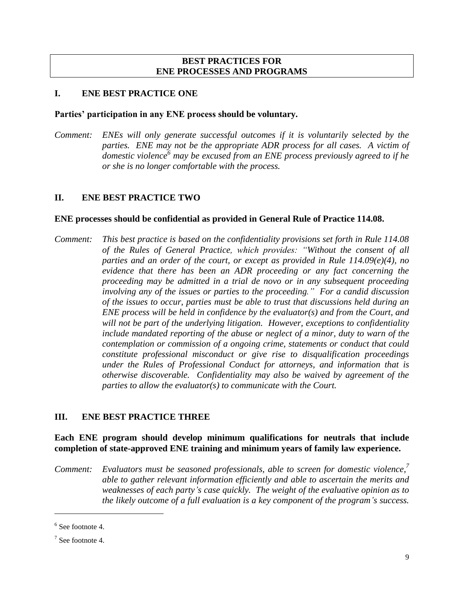### **BEST PRACTICES FOR ENE PROCESSES AND PROGRAMS**

### **I. ENE BEST PRACTICE ONE**

#### **Parties' participation in any ENE process should be voluntary.**

*Comment: ENEs will only generate successful outcomes if it is voluntarily selected by the parties. ENE may not be the appropriate ADR process for all cases. A victim of domestic violence<sup>6</sup> may be excused from an ENE process previously agreed to if he or she is no longer comfortable with the process.*

## **II. ENE BEST PRACTICE TWO**

#### **ENE processes should be confidential as provided in General Rule of Practice 114.08.**

*Comment: This best practice is based on the confidentiality provisions set forth in Rule 114.08 of the Rules of General Practice, which provides: "Without the consent of all parties and an order of the court, or except as provided in Rule 114.09(e)(4), no evidence that there has been an ADR proceeding or any fact concerning the proceeding may be admitted in a trial de novo or in any subsequent proceeding involving any of the issues or parties to the proceeding." For a candid discussion of the issues to occur, parties must be able to trust that discussions held during an ENE process will be held in confidence by the evaluator(s) and from the Court, and will not be part of the underlying litigation. However, exceptions to confidentiality include mandated reporting of the abuse or neglect of a minor, duty to warn of the contemplation or commission of a ongoing crime, statements or conduct that could constitute professional misconduct or give rise to disqualification proceedings under the Rules of Professional Conduct for attorneys, and information that is otherwise discoverable. Confidentiality may also be waived by agreement of the parties to allow the evaluator(s) to communicate with the Court.*

### **III. ENE BEST PRACTICE THREE**

## **Each ENE program should develop minimum qualifications for neutrals that include completion of state-approved ENE training and minimum years of family law experience.**

*Comment: Evaluators must be seasoned professionals, able to screen for domestic violence, 7 able to gather relevant information efficiently and able to ascertain the merits and weaknesses of each party's case quickly. The weight of the evaluative opinion as to the likely outcome of a full evaluation is a key component of the program's success.* 

<sup>&</sup>lt;sup>6</sup> See footnote 4.

 $7$  See footnote 4.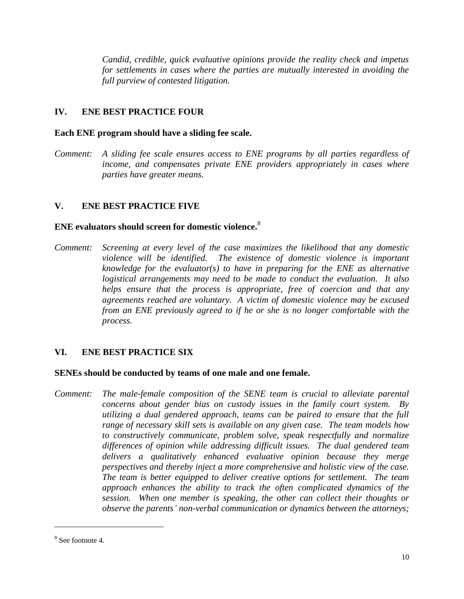*Candid, credible, quick evaluative opinions provide the reality check and impetus for settlements in cases where the parties are mutually interested in avoiding the full purview of contested litigation.*

# **IV. ENE BEST PRACTICE FOUR**

### **Each ENE program should have a sliding fee scale.**

*Comment: A sliding fee scale ensures access to ENE programs by all parties regardless of income, and compensates private ENE providers appropriately in cases where parties have greater means.*

### **V. ENE BEST PRACTICE FIVE**

# **ENE evaluators should screen for domestic violence.** 8

*Comment: Screening at every level of the case maximizes the likelihood that any domestic violence will be identified. The existence of domestic violence is important knowledge for the evaluator(s) to have in preparing for the ENE as alternative logistical arrangements may need to be made to conduct the evaluation. It also helps ensure that the process is appropriate, free of coercion and that any agreements reached are voluntary. A victim of domestic violence may be excused from an ENE previously agreed to if he or she is no longer comfortable with the process.*

### **VI. ENE BEST PRACTICE SIX**

#### **SENEs should be conducted by teams of one male and one female.**

*Comment: The male-female composition of the SENE team is crucial to alleviate parental concerns about gender bias on custody issues in the family court system. By utilizing a dual gendered approach, teams can be paired to ensure that the full range of necessary skill sets is available on any given case. The team models how to constructively communicate, problem solve, speak respectfully and normalize differences of opinion while addressing difficult issues. The dual gendered team delivers a qualitatively enhanced evaluative opinion because they merge perspectives and thereby inject a more comprehensive and holistic view of the case. The team is better equipped to deliver creative options for settlement. The team approach enhances the ability to track the often complicated dynamics of the session. When one member is speaking, the other can collect their thoughts or observe the parents' non-verbal communication or dynamics between the attorneys;* 

<sup>8</sup> See footnote 4.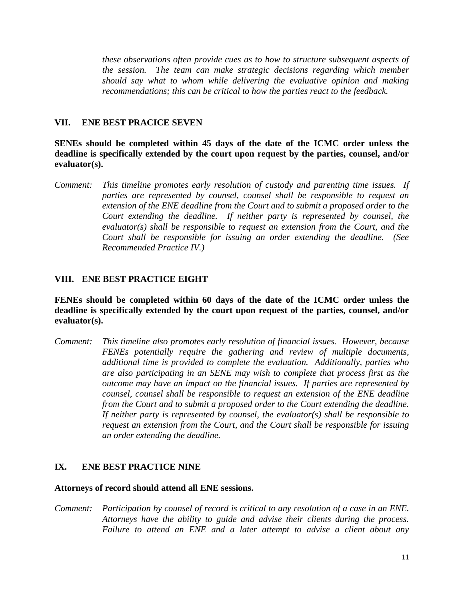*these observations often provide cues as to how to structure subsequent aspects of the session. The team can make strategic decisions regarding which member should say what to whom while delivering the evaluative opinion and making recommendations; this can be critical to how the parties react to the feedback.*

### **VII. ENE BEST PRACICE SEVEN**

**SENEs should be completed within 45 days of the date of the ICMC order unless the deadline is specifically extended by the court upon request by the parties, counsel, and/or evaluator(s).**

*Comment: This timeline promotes early resolution of custody and parenting time issues. If parties are represented by counsel, counsel shall be responsible to request an extension of the ENE deadline from the Court and to submit a proposed order to the Court extending the deadline. If neither party is represented by counsel, the evaluator(s) shall be responsible to request an extension from the Court, and the Court shall be responsible for issuing an order extending the deadline. (See Recommended Practice IV.)*

### **VIII. ENE BEST PRACTICE EIGHT**

**FENEs should be completed within 60 days of the date of the ICMC order unless the deadline is specifically extended by the court upon request of the parties, counsel, and/or evaluator(s).**

*Comment: This timeline also promotes early resolution of financial issues. However, because FENEs potentially require the gathering and review of multiple documents, additional time is provided to complete the evaluation. Additionally, parties who are also participating in an SENE may wish to complete that process first as the outcome may have an impact on the financial issues. If parties are represented by counsel, counsel shall be responsible to request an extension of the ENE deadline from the Court and to submit a proposed order to the Court extending the deadline. If neither party is represented by counsel, the evaluator(s) shall be responsible to request an extension from the Court, and the Court shall be responsible for issuing an order extending the deadline.*

#### **IX. ENE BEST PRACTICE NINE**

#### **Attorneys of record should attend all ENE sessions.**

*Comment: Participation by counsel of record is critical to any resolution of a case in an ENE. Attorneys have the ability to guide and advise their clients during the process. Failure to attend an ENE and a later attempt to advise a client about any*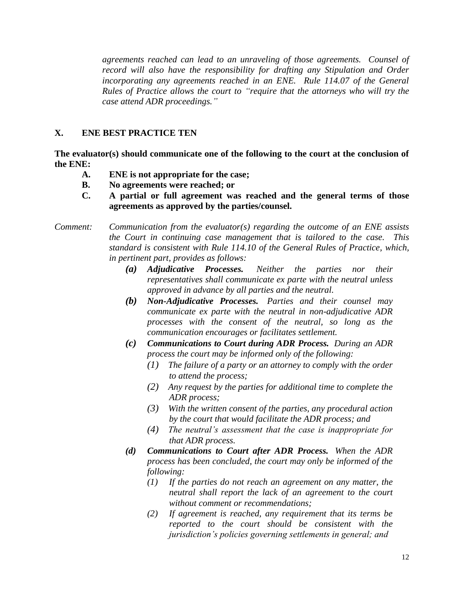*agreements reached can lead to an unraveling of those agreements. Counsel of record will also have the responsibility for drafting any Stipulation and Order incorporating any agreements reached in an ENE. Rule 114.07 of the General Rules of Practice allows the court to "require that the attorneys who will try the case attend ADR proceedings."*

# **X. ENE BEST PRACTICE TEN**

**The evaluator(s) should communicate one of the following to the court at the conclusion of the ENE:**

- **A. ENE is not appropriate for the case;**
- **B. No agreements were reached; or**
- **C. A partial or full agreement was reached and the general terms of those agreements as approved by the parties/counsel.**

# *Comment: Communication from the evaluator(s) regarding the outcome of an ENE assists the Court in continuing case management that is tailored to the case. This standard is consistent with Rule 114.10 of the General Rules of Practice, which, in pertinent part, provides as follows:*

- *(a) Adjudicative Processes. Neither the parties nor their representatives shall communicate ex parte with the neutral unless approved in advance by all parties and the neutral.*
- *(b) Non-Adjudicative Processes. Parties and their counsel may communicate ex parte with the neutral in non-adjudicative ADR processes with the consent of the neutral, so long as the communication encourages or facilitates settlement.*
- *(c) Communications to Court during ADR Process. During an ADR process the court may be informed only of the following:* 
	- *(1) The failure of a party or an attorney to comply with the order to attend the process;*
	- *(2) Any request by the parties for additional time to complete the ADR process;*
	- *(3) With the written consent of the parties, any procedural action by the court that would facilitate the ADR process; and*
	- *(4) The neutral's assessment that the case is inappropriate for that ADR process.*
- *(d) Communications to Court after ADR Process. When the ADR process has been concluded, the court may only be informed of the following:* 
	- *(1) If the parties do not reach an agreement on any matter, the neutral shall report the lack of an agreement to the court without comment or recommendations;*
	- *(2) If agreement is reached, any requirement that its terms be reported to the court should be consistent with the jurisdiction's policies governing settlements in general; and*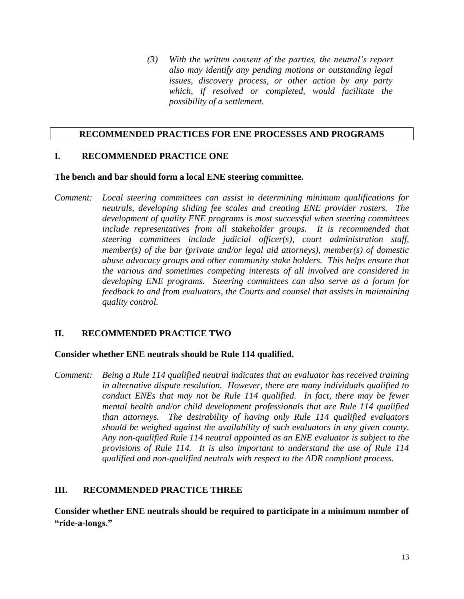*(3) With the written consent of the parties, the neutral's report also may identify any pending motions or outstanding legal issues, discovery process, or other action by any party which, if resolved or completed, would facilitate the possibility of a settlement.*

#### **RECOMMENDED PRACTICES FOR ENE PROCESSES AND PROGRAMS**

## **I. RECOMMENDED PRACTICE ONE**

#### **The bench and bar should form a local ENE steering committee.**

*Comment: Local steering committees can assist in determining minimum qualifications for neutrals, developing sliding fee scales and creating ENE provider rosters. The development of quality ENE programs is most successful when steering committees include representatives from all stakeholder groups. It is recommended that steering committees include judicial officer(s), court administration staff, member(s) of the bar (private and/or legal aid attorneys), member(s) of domestic abuse advocacy groups and other community stake holders. This helps ensure that the various and sometimes competing interests of all involved are considered in developing ENE programs. Steering committees can also serve as a forum for feedback to and from evaluators, the Courts and counsel that assists in maintaining quality control.*

# **II. RECOMMENDED PRACTICE TWO**

### **Consider whether ENE neutrals should be Rule 114 qualified.**

*Comment: Being a Rule 114 qualified neutral indicates that an evaluator has received training in alternative dispute resolution. However, there are many individuals qualified to conduct ENEs that may not be Rule 114 qualified. In fact, there may be fewer mental health and/or child development professionals that are Rule 114 qualified than attorneys. The desirability of having only Rule 114 qualified evaluators should be weighed against the availability of such evaluators in any given county. Any non-qualified Rule 114 neutral appointed as an ENE evaluator is subject to the provisions of Rule 114. It is also important to understand the use of Rule 114 qualified and non-qualified neutrals with respect to the ADR compliant process.*

### **III. RECOMMENDED PRACTICE THREE**

**Consider whether ENE neutrals should be required to participate in a minimum number of "ride-a-longs."**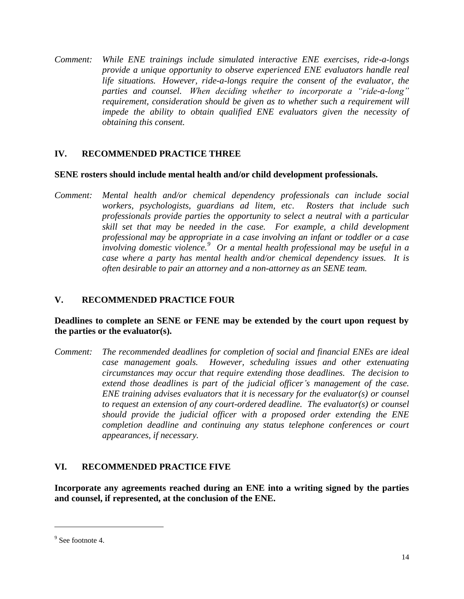*Comment: While ENE trainings include simulated interactive ENE exercises, ride-a-longs provide a unique opportunity to observe experienced ENE evaluators handle real life situations. However, ride-a-longs require the consent of the evaluator, the parties and counsel. When deciding whether to incorporate a "ride-a-long" requirement, consideration should be given as to whether such a requirement will impede the ability to obtain qualified ENE evaluators given the necessity of obtaining this consent.*

## **IV. RECOMMENDED PRACTICE THREE**

#### **SENE rosters should include mental health and/or child development professionals.**

*Comment: Mental health and/or chemical dependency professionals can include social workers, psychologists, guardians ad litem, etc*. *Rosters that include such professionals provide parties the opportunity to select a neutral with a particular skill set that may be needed in the case. For example, a child development professional may be appropriate in a case involving an infant or toddler or a case involving domestic violence.<sup>9</sup> Or a mental health professional may be useful in a case where a party has mental health and/or chemical dependency issues. It is often desirable to pair an attorney and a non-attorney as an SENE team.*

### **V. RECOMMENDED PRACTICE FOUR**

## **Deadlines to complete an SENE or FENE may be extended by the court upon request by the parties or the evaluator(s).**

*Comment: The recommended deadlines for completion of social and financial ENEs are ideal case management goals. However, scheduling issues and other extenuating circumstances may occur that require extending those deadlines. The decision to extend those deadlines is part of the judicial officer's management of the case. ENE training advises evaluators that it is necessary for the evaluator(s) or counsel to request an extension of any court-ordered deadline. The evaluator(s) or counsel should provide the judicial officer with a proposed order extending the ENE completion deadline and continuing any status telephone conferences or court appearances, if necessary.*

### **VI. RECOMMENDED PRACTICE FIVE**

**Incorporate any agreements reached during an ENE into a writing signed by the parties and counsel, if represented, at the conclusion of the ENE.**

<sup>&</sup>lt;sup>9</sup> See footnote 4.